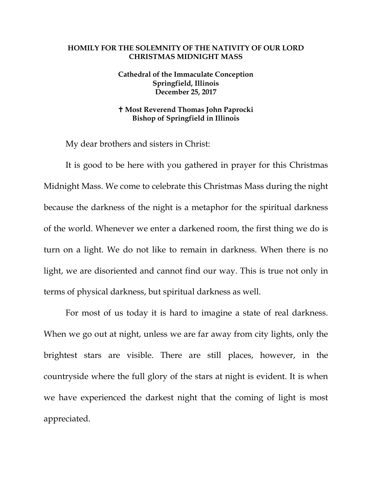## **HOMILY FOR THE SOLEMNITY OF THE NATIVITY OF OUR LORD CHRISTMAS MIDNIGHT MASS**

## **Cathedral of the Immaculate Conception Springfield, Illinois December 25, 2017**

## **Most Reverend Thomas John Paprocki Bishop of Springfield in Illinois**

My dear brothers and sisters in Christ:

It is good to be here with you gathered in prayer for this Christmas Midnight Mass. We come to celebrate this Christmas Mass during the night because the darkness of the night is a metaphor for the spiritual darkness of the world. Whenever we enter a darkened room, the first thing we do is turn on a light. We do not like to remain in darkness. When there is no light, we are disoriented and cannot find our way. This is true not only in terms of physical darkness, but spiritual darkness as well.

For most of us today it is hard to imagine a state of real darkness. When we go out at night, unless we are far away from city lights, only the brightest stars are visible. There are still places, however, in the countryside where the full glory of the stars at night is evident. It is when we have experienced the darkest night that the coming of light is most appreciated.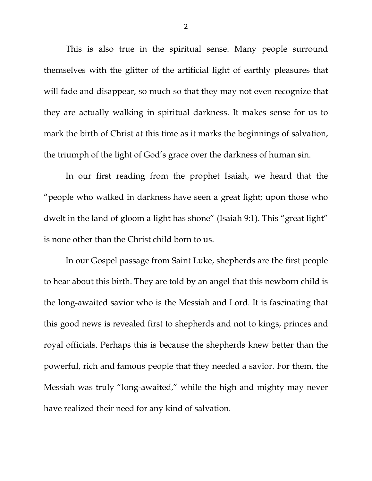This is also true in the spiritual sense. Many people surround themselves with the glitter of the artificial light of earthly pleasures that will fade and disappear, so much so that they may not even recognize that they are actually walking in spiritual darkness. It makes sense for us to mark the birth of Christ at this time as it marks the beginnings of salvation, the triumph of the light of God's grace over the darkness of human sin.

In our first reading from the prophet Isaiah, we heard that the "people who walked in darkness have seen a great light; upon those who dwelt in the land of gloom a light has shone" (Isaiah 9:1). This "great light" is none other than the Christ child born to us.

In our Gospel passage from Saint Luke, shepherds are the first people to hear about this birth. They are told by an angel that this newborn child is the long-awaited savior who is the Messiah and Lord. It is fascinating that this good news is revealed first to shepherds and not to kings, princes and royal officials. Perhaps this is because the shepherds knew better than the powerful, rich and famous people that they needed a savior. For them, the Messiah was truly "long-awaited," while the high and mighty may never have realized their need for any kind of salvation.

2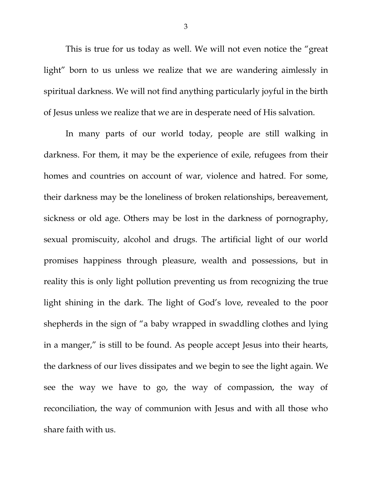This is true for us today as well. We will not even notice the "great light" born to us unless we realize that we are wandering aimlessly in spiritual darkness. We will not find anything particularly joyful in the birth of Jesus unless we realize that we are in desperate need of His salvation.

In many parts of our world today, people are still walking in darkness. For them, it may be the experience of exile, refugees from their homes and countries on account of war, violence and hatred. For some, their darkness may be the loneliness of broken relationships, bereavement, sickness or old age. Others may be lost in the darkness of pornography, sexual promiscuity, alcohol and drugs. The artificial light of our world promises happiness through pleasure, wealth and possessions, but in reality this is only light pollution preventing us from recognizing the true light shining in the dark. The light of God's love, revealed to the poor shepherds in the sign of "a baby wrapped in swaddling clothes and lying in a manger," is still to be found. As people accept Jesus into their hearts, the darkness of our lives dissipates and we begin to see the light again. We see the way we have to go, the way of compassion, the way of reconciliation, the way of communion with Jesus and with all those who share faith with us.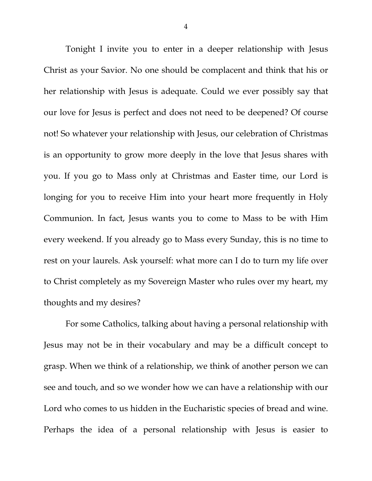Tonight I invite you to enter in a deeper relationship with Jesus Christ as your Savior. No one should be complacent and think that his or her relationship with Jesus is adequate. Could we ever possibly say that our love for Jesus is perfect and does not need to be deepened? Of course not! So whatever your relationship with Jesus, our celebration of Christmas is an opportunity to grow more deeply in the love that Jesus shares with you. If you go to Mass only at Christmas and Easter time, our Lord is longing for you to receive Him into your heart more frequently in Holy Communion. In fact, Jesus wants you to come to Mass to be with Him every weekend. If you already go to Mass every Sunday, this is no time to rest on your laurels. Ask yourself: what more can I do to turn my life over to Christ completely as my Sovereign Master who rules over my heart, my thoughts and my desires?

For some Catholics, talking about having a personal relationship with Jesus may not be in their vocabulary and may be a difficult concept to grasp. When we think of a relationship, we think of another person we can see and touch, and so we wonder how we can have a relationship with our Lord who comes to us hidden in the Eucharistic species of bread and wine. Perhaps the idea of a personal relationship with Jesus is easier to